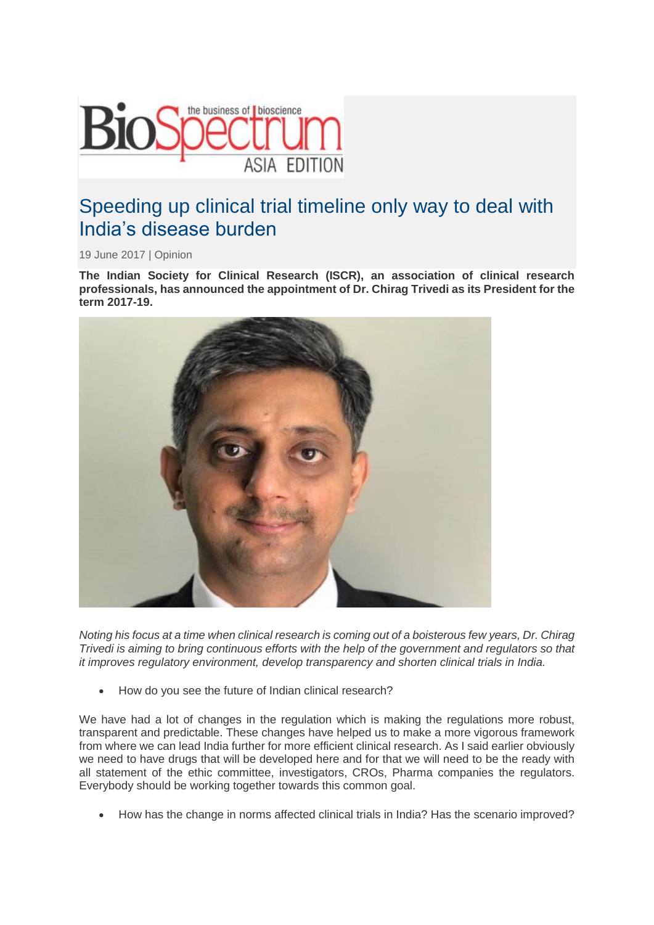

## Speeding up clinical trial timeline only way to deal with India's disease burden

19 June 2017 | Opinion

**The Indian Society for Clinical Research (ISCR), an association of clinical research professionals, has announced the appointment of Dr. Chirag Trivedi as its President for the term 2017-19.**



*Noting his focus at a time when clinical research is coming out of a boisterous few years, Dr. Chirag Trivedi is aiming to bring continuous efforts with the help of the government and regulators so that it improves regulatory environment, develop transparency and shorten clinical trials in India.*

• How do you see the future of Indian clinical research?

We have had a lot of changes in the regulation which is making the regulations more robust, transparent and predictable. These changes have helped us to make a more vigorous framework from where we can lead India further for more efficient clinical research. As I said earlier obviously we need to have drugs that will be developed here and for that we will need to be the ready with all statement of the ethic committee, investigators, CROs, Pharma companies the regulators. Everybody should be working together towards this common goal.

• How has the change in norms affected clinical trials in India? Has the scenario improved?